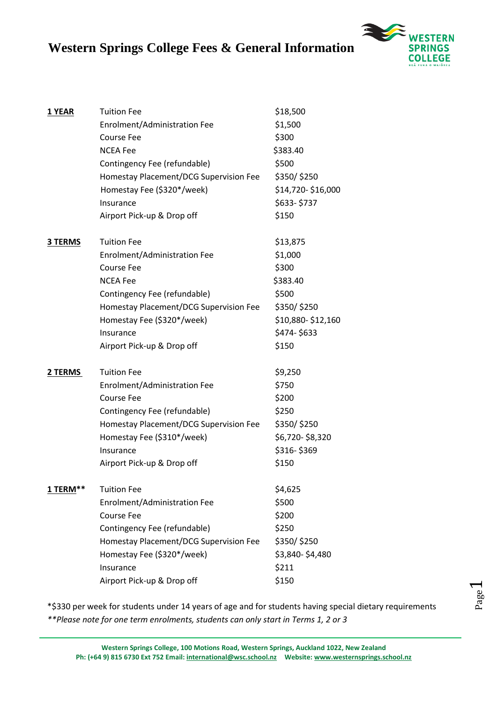

| 1 YEAR   | <b>Tuition Fee</b><br>Enrolment/Administration Fee<br><b>Course Fee</b><br><b>NCEA Fee</b><br>Contingency Fee (refundable)<br>Homestay Placement/DCG Supervision Fee<br>Homestay Fee (\$320*/week)<br>Insurance<br>Airport Pick-up & Drop off | \$18,500<br>\$1,500<br>\$300<br>\$383.40<br>\$500<br>\$350/\$250<br>\$14,720-\$16,000<br>\$633-\$737<br>\$150 |
|----------|-----------------------------------------------------------------------------------------------------------------------------------------------------------------------------------------------------------------------------------------------|---------------------------------------------------------------------------------------------------------------|
| 3 TERMS  | <b>Tuition Fee</b><br>Enrolment/Administration Fee<br><b>Course Fee</b><br><b>NCEA Fee</b><br>Contingency Fee (refundable)<br>Homestay Placement/DCG Supervision Fee<br>Homestay Fee (\$320*/week)<br>Insurance<br>Airport Pick-up & Drop off | \$13,875<br>\$1,000<br>\$300<br>\$383.40<br>\$500<br>\$350/\$250<br>\$10,880-\$12,160<br>\$474-\$633<br>\$150 |
| 2 TERMS  | <b>Tuition Fee</b><br>Enrolment/Administration Fee<br><b>Course Fee</b><br>Contingency Fee (refundable)<br>Homestay Placement/DCG Supervision Fee<br>Homestay Fee (\$310*/week)<br>Insurance<br>Airport Pick-up & Drop off                    | \$9,250<br>\$750<br>\$200<br>\$250<br>\$350/\$250<br>\$6,720-\$8,320<br>\$316-\$369<br>\$150                  |
| 1 TERM** | <b>Tuition Fee</b><br>Enrolment/Administration Fee<br><b>Course Fee</b><br>Contingency Fee (refundable)<br>Homestay Placement/DCG Supervision Fee<br>Homestay Fee (\$320*/week)<br>Insurance<br>Airport Pick-up & Drop off                    | \$4,625<br>\$500<br>\$200<br>\$250<br>\$350/\$250<br>\$3,840-\$4,480<br>\$211<br>\$150                        |

\*\$330 per week for students under 14 years of age and for students having special dietary requirements *\*\*Please note for one term enrolments, students can only start in Terms 1, 2 or 3*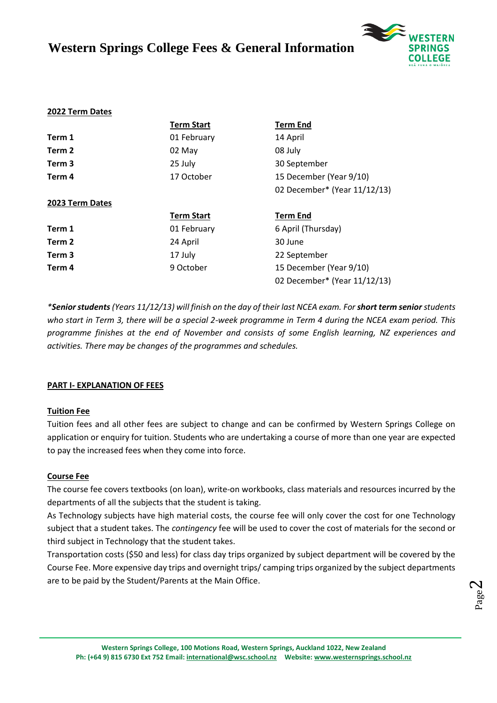

#### **2022 Term Dates**

|                   | <b>Term Start</b> | <b>Term End</b>              |
|-------------------|-------------------|------------------------------|
| Term 1            | 01 February       | 14 April                     |
| Term 2            | 02 May            | 08 July                      |
| Term 3            | 25 July           | 30 September                 |
| Term 4            | 17 October        | 15 December (Year 9/10)      |
|                   |                   | 02 December* (Year 11/12/13) |
| 2023 Term Dates   |                   |                              |
|                   |                   |                              |
|                   | <b>Term Start</b> | <b>Term End</b>              |
| Term 1            | 01 February       | 6 April (Thursday)           |
| Term 2            | 24 April          | 30 June                      |
| Term <sub>3</sub> | 17 July           | 22 September                 |
| Term 4            | 9 October         | 15 December (Year 9/10)      |

*\*Senior students(Years 11/12/13) will finish on the day of their last NCEA exam. For short term seniorstudents who start in Term 3, there will be a special 2-week programme in Term 4 during the NCEA exam period. This programme finishes at the end of November and consists of some English learning, NZ experiences and activities. There may be changes of the programmes and schedules.*

#### **PART I- EXPLANATION OF FEES**

#### **Tuition Fee**

Tuition fees and all other fees are subject to change and can be confirmed by Western Springs College on application or enquiry for tuition. Students who are undertaking a course of more than one year are expected to pay the increased fees when they come into force.

#### **Course Fee**

The course fee covers textbooks (on loan), write-on workbooks, class materials and resources incurred by the departments of all the subjects that the student is taking.

As Technology subjects have high material costs, the course fee will only cover the cost for one Technology subject that a student takes. The *contingency* fee will be used to cover the cost of materials for the second or third subject in Technology that the student takes.

Transportation costs (\$50 and less) for class day trips organized by subject department will be covered by the Course Fee. More expensive day trips and overnight trips/ camping trips organized by the subject departments are to be paid by the Student/Parents at the Main Office.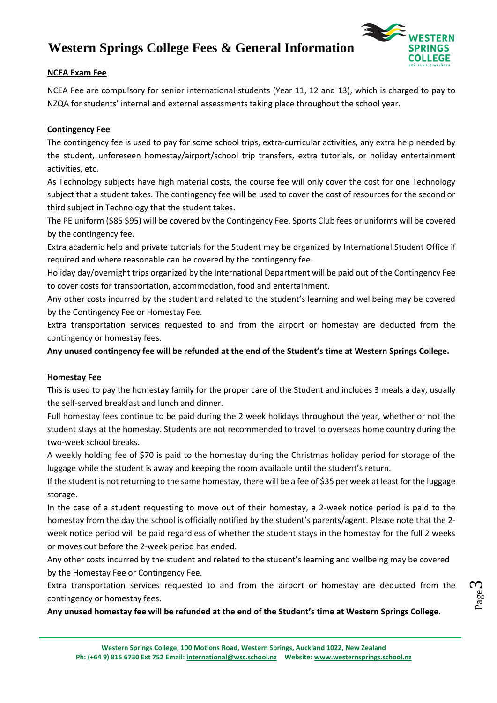

### **NCEA Exam Fee**

NCEA Fee are compulsory for senior international students (Year 11, 12 and 13), which is charged to pay to NZQA for students' internal and external assessments taking place throughout the school year.

## **Contingency Fee**

The contingency fee is used to pay for some school trips, extra-curricular activities, any extra help needed by the student, unforeseen homestay/airport/school trip transfers, extra tutorials, or holiday entertainment activities, etc.

As Technology subjects have high material costs, the course fee will only cover the cost for one Technology subject that a student takes. The contingency fee will be used to cover the cost of resources for the second or third subject in Technology that the student takes.

The PE uniform (\$85 \$95) will be covered by the Contingency Fee. Sports Club fees or uniforms will be covered by the contingency fee.

Extra academic help and private tutorials for the Student may be organized by International Student Office if required and where reasonable can be covered by the contingency fee.

Holiday day/overnight trips organized by the International Department will be paid out of the Contingency Fee to cover costs for transportation, accommodation, food and entertainment.

Any other costs incurred by the student and related to the student's learning and wellbeing may be covered by the Contingency Fee or Homestay Fee.

Extra transportation services requested to and from the airport or homestay are deducted from the contingency or homestay fees.

**Any unused contingency fee will be refunded at the end of the Student's time at Western Springs College.**

#### **Homestay Fee**

This is used to pay the homestay family for the proper care of the Student and includes 3 meals a day, usually the self-served breakfast and lunch and dinner.

Full homestay fees continue to be paid during the 2 week holidays throughout the year, whether or not the student stays at the homestay. Students are not recommended to travel to overseas home country during the two-week school breaks.

A weekly holding fee of \$70 is paid to the homestay during the Christmas holiday period for storage of the luggage while the student is away and keeping the room available until the student's return.

If the student is not returning to the same homestay, there will be a fee of \$35 per week at least for the luggage storage.

In the case of a student requesting to move out of their homestay, a 2-week notice period is paid to the homestay from the day the school is officially notified by the student's parents/agent. Please note that the 2 week notice period will be paid regardless of whether the student stays in the homestay for the full 2 weeks or moves out before the 2-week period has ended.

Any other costs incurred by the student and related to the student's learning and wellbeing may be covered by the Homestay Fee or Contingency Fee.

Extra transportation services requested to and from the airport or homestay are deducted from the contingency or homestay fees.

**Any unused homestay fee will be refunded at the end of the Student's time at Western Springs College.**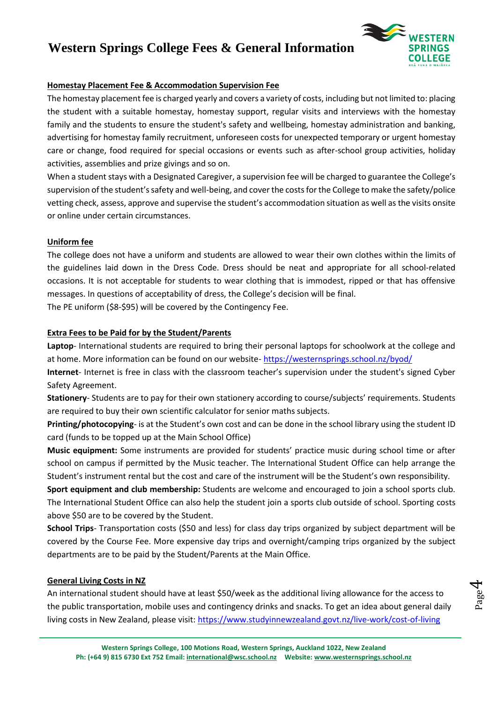

## **Homestay Placement Fee & Accommodation Supervision Fee**

The homestay placement fee is charged yearly and covers a variety of costs, including but not limited to: placing the student with a suitable homestay, homestay support, regular visits and interviews with the homestay family and the students to ensure the student's safety and wellbeing, homestay administration and banking, advertising for homestay family recruitment, unforeseen costs for unexpected temporary or urgent homestay care or change, food required for special occasions or events such as after-school group activities, holiday activities, assemblies and prize givings and so on.

When a student stays with a Designated Caregiver, a supervision fee will be charged to guarantee the College's supervision of the student's safety and well-being, and cover the costs for the College to make the safety/police vetting check, assess, approve and supervise the student's accommodation situation as well as the visits onsite or online under certain circumstances.

## **Uniform fee**

The college does not have a uniform and students are allowed to wear their own clothes within the limits of the guidelines laid down in the Dress Code. Dress should be neat and appropriate for all school-related occasions. It is not acceptable for students to wear clothing that is immodest, ripped or that has offensive messages. In questions of acceptability of dress, the College's decision will be final.

The PE uniform (\$8-\$95) will be covered by the Contingency Fee.

## **Extra Fees to be Paid for by the Student/Parents**

**Laptop**- International students are required to bring their personal laptops for schoolwork at the college and at home. More information can be found on our website- <https://westernsprings.school.nz/byod/>

**Internet**- Internet is free in class with the classroom teacher's supervision under the student's signed Cyber Safety Agreement.

**Stationery**- Students are to pay for their own stationery according to course/subjects' requirements. Students are required to buy their own scientific calculator for senior maths subjects.

**Printing/photocopying**- is at the Student's own cost and can be done in the school library using the student ID card (funds to be topped up at the Main School Office)

**Music equipment:** Some instruments are provided for students' practice music during school time or after school on campus if permitted by the Music teacher. The International Student Office can help arrange the Student's instrument rental but the cost and care of the instrument will be the Student's own responsibility.

**Sport equipment and club membership:** Students are welcome and encouraged to join a school sports club. The International Student Office can also help the student join a sports club outside of school. Sporting costs above \$50 are to be covered by the Student.

**School Trips**- Transportation costs (\$50 and less) for class day trips organized by subject department will be covered by the Course Fee. More expensive day trips and overnight/camping trips organized by the subject departments are to be paid by the Student/Parents at the Main Office.

## **General Living Costs in NZ**

An international student should have at least \$50/week as the additional living allowance for the access to the public transportation, mobile uses and contingency drinks and snacks. To get an idea about general daily living costs in New Zealand, please visit:<https://www.studyinnewzealand.govt.nz/live-work/cost-of-living>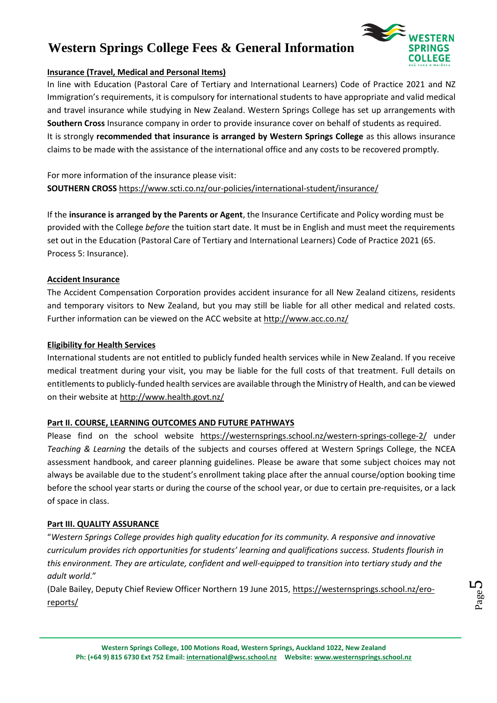

## **Insurance (Travel, Medical and Personal Items)**

In line with Education (Pastoral Care of Tertiary and International Learners) Code of Practice 2021 and NZ Immigration's requirements, it is compulsory for international students to have appropriate and valid medical and travel insurance while studying in New Zealand. Western Springs College has set up arrangements with **Southern Cross** Insurance company in order to provide insurance cover on behalf of students as required. It is strongly **recommended that insurance is arranged by Western Springs College** as this allows insurance claims to be made with the assistance of the international office and any costs to be recovered promptly.

For more information of the insurance please visit: **SOUTHERN CROSS** https://www.scti.co.nz/our-policies/international-student/insurance/

If the **insurance is arranged by the Parents or Agent**, the Insurance Certificate and Policy wording must be provided with the College *before* the tuition start date. It must be in English and must meet the requirements set out in the Education (Pastoral Care of Tertiary and International Learners) Code of Practice 2021 (65. Process 5: Insurance).

## **Accident Insurance**

The Accident Compensation Corporation provides accident insurance for all New Zealand citizens, residents and temporary visitors to New Zealand, but you may still be liable for all other medical and related costs. Further information can be viewed on the ACC website at<http://www.acc.co.nz/>

## **Eligibility for Health Services**

International students are not entitled to publicly funded health services while in New Zealand. If you receive medical treatment during your visit, you may be liable for the full costs of that treatment. Full details on entitlements to publicly-funded health services are available through the Ministry of Health, and can be viewed on their website at http://www.health.govt.nz/

## **Part II. COURSE, LEARNING OUTCOMES AND FUTURE PATHWAYS**

Please find on the school website <https://westernsprings.school.nz/western-springs-college-2/> under *Teaching & Learning* the details of the subjects and courses offered at Western Springs College, the NCEA assessment handbook, and career planning guidelines. Please be aware that some subject choices may not always be available due to the student's enrollment taking place after the annual course/option booking time before the school year starts or during the course of the school year, or due to certain pre-requisites, or a lack of space in class.

## **Part III. QUALITY ASSURANCE**

"*Western Springs College provides high quality education for its community. A responsive and innovative curriculum provides rich opportunities for students' learning and qualifications success. Students flourish in this environment. They are articulate, confident and well-equipped to transition into tertiary study and the adult world*."

(Dale Bailey, Deputy Chief Review Officer Northern 19 June 2015, https://westernsprings.school.nz/eroreports/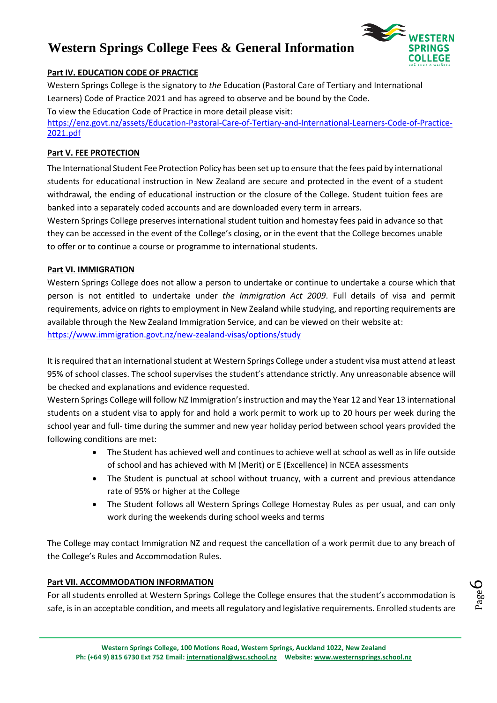

## **Part IV. EDUCATION CODE OF PRACTICE**

Western Springs College is the signatory to *the* Education (Pastoral Care of Tertiary and International Learners) Code of Practice 2021 and has agreed to observe and be bound by the Code. To view the Education Code of Practice in more detail please visit:

[https://enz.govt.nz/assets/Education-Pastoral-Care-of-Tertiary-and-International-Learners-Code-of-Practice-](https://enz.govt.nz/assets/Education-Pastoral-Care-of-Tertiary-and-International-Learners-Code-of-Practice-2021.pdf)[2021.pdf](https://enz.govt.nz/assets/Education-Pastoral-Care-of-Tertiary-and-International-Learners-Code-of-Practice-2021.pdf)

### **Part V. FEE PROTECTION**

The International Student Fee Protection Policy has been set up to ensure that the fees paid by international students for educational instruction in New Zealand are secure and protected in the event of a student withdrawal, the ending of educational instruction or the closure of the College. Student tuition fees are banked into a separately coded accounts and are downloaded every term in arrears.

Western Springs College preserves international student tuition and homestay fees paid in advance so that they can be accessed in the event of the College's closing, or in the event that the College becomes unable to offer or to continue a course or programme to international students.

#### **Part VI. IMMIGRATION**

Western Springs College does not allow a person to undertake or continue to undertake a course which that person is not entitled to undertake under *the Immigration Act 2009*. Full details of visa and permit requirements, advice on rights to employment in New Zealand while studying, and reporting requirements are available through the New Zealand Immigration Service, and can be viewed on their website at: <https://www.immigration.govt.nz/new-zealand-visas/options/study>

It is required that an international student at Western Springs College under a student visa must attend at least 95% of school classes. The school supervises the student's attendance strictly. Any unreasonable absence will be checked and explanations and evidence requested.

Western Springs College will follow NZ Immigration's instruction and may the Year 12 and Year 13 international students on a student visa to apply for and hold a work permit to work up to 20 hours per week during the school year and full- time during the summer and new year holiday period between school years provided the following conditions are met:

- The Student has achieved well and continues to achieve well at school as well as in life outside of school and has achieved with M (Merit) or E (Excellence) in NCEA assessments
- The Student is punctual at school without truancy, with a current and previous attendance rate of 95% or higher at the College
- The Student follows all Western Springs College Homestay Rules as per usual, and can only work during the weekends during school weeks and terms

The College may contact Immigration NZ and request the cancellation of a work permit due to any breach of the College's Rules and Accommodation Rules.

## **Part VII. ACCOMMODATION INFORMATION**

For all students enrolled at Western Springs College the College ensures that the student's accommodation is safe, is in an acceptable condition, and meets all regulatory and legislative requirements. Enrolled students are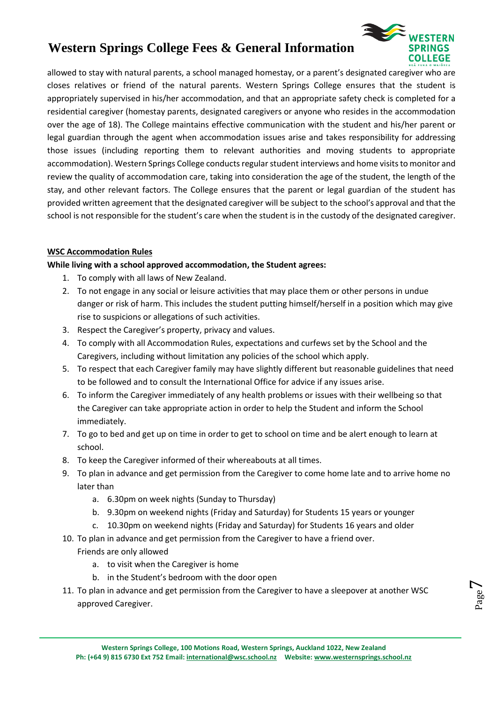

Page  $\overline{\phantom{a}}$ 

allowed to stay with natural parents, a school managed homestay, or a parent's designated caregiver who are closes relatives or friend of the natural parents. Western Springs College ensures that the student is appropriately supervised in his/her accommodation, and that an appropriate safety check is completed for a residential caregiver (homestay parents, designated caregivers or anyone who resides in the accommodation over the age of 18). The College maintains effective communication with the student and his/her parent or legal guardian through the agent when accommodation issues arise and takes responsibility for addressing those issues (including reporting them to relevant authorities and moving students to appropriate accommodation). Western Springs College conducts regular student interviews and home visits to monitor and review the quality of accommodation care, taking into consideration the age of the student, the length of the stay, and other relevant factors. The College ensures that the parent or legal guardian of the student has provided written agreement that the designated caregiver will be subject to the school's approval and that the school is not responsible for the student's care when the student is in the custody of the designated caregiver.

## **WSC Accommodation Rules**

## **While living with a school approved accommodation, the Student agrees:**

- 1. To comply with all laws of New Zealand.
- 2. To not engage in any social or leisure activities that may place them or other persons in undue danger or risk of harm. This includes the student putting himself/herself in a position which may give rise to suspicions or allegations of such activities.
- 3. Respect the Caregiver's property, privacy and values.
- 4. To comply with all Accommodation Rules, expectations and curfews set by the School and the Caregivers, including without limitation any policies of the school which apply.
- 5. To respect that each Caregiver family may have slightly different but reasonable guidelines that need to be followed and to consult the International Office for advice if any issues arise.
- 6. To inform the Caregiver immediately of any health problems or issues with their wellbeing so that the Caregiver can take appropriate action in order to help the Student and inform the School immediately.
- 7. To go to bed and get up on time in order to get to school on time and be alert enough to learn at school.
- 8. To keep the Caregiver informed of their whereabouts at all times.
- 9. To plan in advance and get permission from the Caregiver to come home late and to arrive home no later than
	- a. 6.30pm on week nights (Sunday to Thursday)
	- b. 9.30pm on weekend nights (Friday and Saturday) for Students 15 years or younger
	- c. 10.30pm on weekend nights (Friday and Saturday) for Students 16 years and older
- 10. To plan in advance and get permission from the Caregiver to have a friend over. Friends are only allowed
	- a. to visit when the Caregiver is home
	- b. in the Student's bedroom with the door open
- 11. To plan in advance and get permission from the Caregiver to have a sleepover at another WSC approved Caregiver.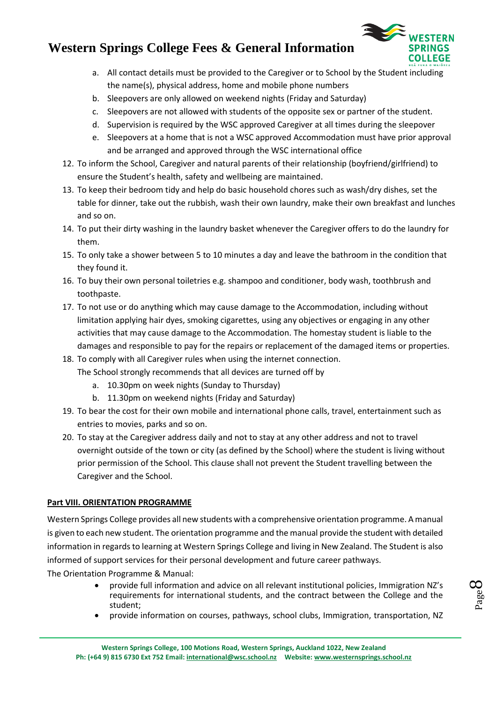

- a. All contact details must be provided to the Caregiver or to School by the Student including the name(s), physical address, home and mobile phone numbers
- b. Sleepovers are only allowed on weekend nights (Friday and Saturday)
- c. Sleepovers are not allowed with students of the opposite sex or partner of the student.
- d. Supervision is required by the WSC approved Caregiver at all times during the sleepover
- e. Sleepovers at a home that is not a WSC approved Accommodation must have prior approval and be arranged and approved through the WSC international office
- 12. To inform the School, Caregiver and natural parents of their relationship (boyfriend/girlfriend) to ensure the Student's health, safety and wellbeing are maintained.
- 13. To keep their bedroom tidy and help do basic household chores such as wash/dry dishes, set the table for dinner, take out the rubbish, wash their own laundry, make their own breakfast and lunches and so on.
- 14. To put their dirty washing in the laundry basket whenever the Caregiver offers to do the laundry for them.
- 15. To only take a shower between 5 to 10 minutes a day and leave the bathroom in the condition that they found it.
- 16. To buy their own personal toiletries e.g. shampoo and conditioner, body wash, toothbrush and toothpaste.
- 17. To not use or do anything which may cause damage to the Accommodation, including without limitation applying hair dyes, smoking cigarettes, using any objectives or engaging in any other activities that may cause damage to the Accommodation. The homestay student is liable to the damages and responsible to pay for the repairs or replacement of the damaged items or properties.
- 18. To comply with all Caregiver rules when using the internet connection. The School strongly recommends that all devices are turned off by
	- a. 10.30pm on week nights (Sunday to Thursday)
	- b. 11.30pm on weekend nights (Friday and Saturday)
- 19. To bear the cost for their own mobile and international phone calls, travel, entertainment such as entries to movies, parks and so on.
- 20. To stay at the Caregiver address daily and not to stay at any other address and not to travel overnight outside of the town or city (as defined by the School) where the student is living without prior permission of the School. This clause shall not prevent the Student travelling between the Caregiver and the School.

## **Part VIII. ORIENTATION PROGRAMME**

Western Springs College provides all new students with a comprehensive orientation programme. A manual is given to each new student. The orientation programme and the manual provide the student with detailed information in regards to learning at Western Springs College and living in New Zealand. The Student is also informed of support services for their personal development and future career pathways. The Orientation Programme & Manual:

- provide full information and advice on all relevant institutional policies, Immigration NZ's requirements for international students, and the contract between the College and the student;
- provide information on courses, pathways, school clubs, Immigration, transportation, NZ